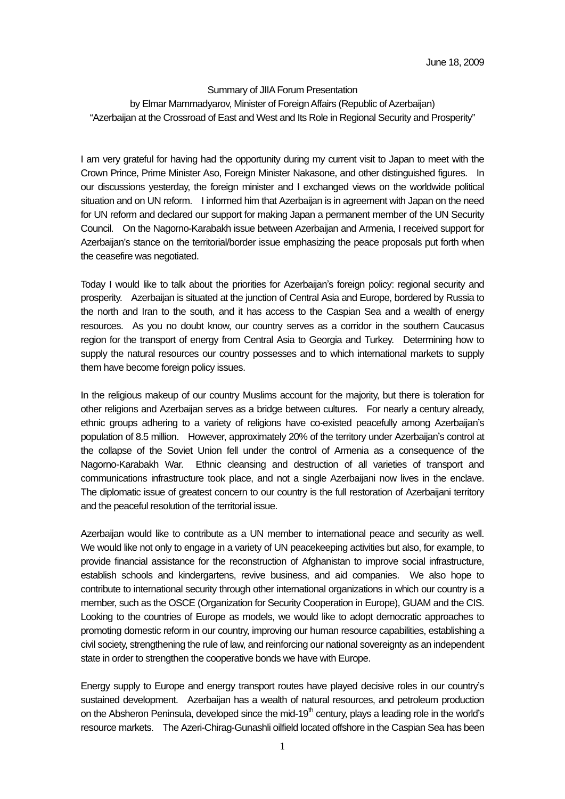## Summary of JIIA Forum Presentation by Elmar Mammadyarov, Minister of Foreign Affairs (Republic of Azerbaijan) "Azerbaijan at the Crossroad of East and West and Its Role in Regional Security and Prosperity"

I am very grateful for having had the opportunity during my current visit to Japan to meet with the Crown Prince, Prime Minister Aso, Foreign Minister Nakasone, and other distinguished figures. In our discussions yesterday, the foreign minister and I exchanged views on the worldwide political situation and on UN reform. I informed him that Azerbaijan is in agreement with Japan on the need for UN reform and declared our support for making Japan a permanent member of the UN Security Council. On the Nagorno-Karabakh issue between Azerbaijan and Armenia, I received support for Azerbaijan's stance on the territorial/border issue emphasizing the peace proposals put forth when the ceasefire was negotiated.

Today I would like to talk about the priorities for Azerbaijan's foreign policy: regional security and prosperity. Azerbaijan is situated at the junction of Central Asia and Europe, bordered by Russia to the north and Iran to the south, and it has access to the Caspian Sea and a wealth of energy resources. As you no doubt know, our country serves as a corridor in the southern Caucasus region for the transport of energy from Central Asia to Georgia and Turkey. Determining how to supply the natural resources our country possesses and to which international markets to supply them have become foreign policy issues.

In the religious makeup of our country Muslims account for the majority, but there is toleration for other religions and Azerbaijan serves as a bridge between cultures. For nearly a century already, ethnic groups adhering to a variety of religions have co-existed peacefully among Azerbaijan's population of 8.5 million. However, approximately 20% of the territory under Azerbaijan's control at the collapse of the Soviet Union fell under the control of Armenia as a consequence of the Nagorno-Karabakh War. Ethnic cleansing and destruction of all varieties of transport and communications infrastructure took place, and not a single Azerbaijani now lives in the enclave. The diplomatic issue of greatest concern to our country is the full restoration of Azerbaijani territory and the peaceful resolution of the territorial issue.

Azerbaijan would like to contribute as a UN member to international peace and security as well. We would like not only to engage in a variety of UN peacekeeping activities but also, for example, to provide financial assistance for the reconstruction of Afghanistan to improve social infrastructure, establish schools and kindergartens, revive business, and aid companies. We also hope to contribute to international security through other international organizations in which our country is a member, such as the OSCE (Organization for Security Cooperation in Europe), GUAM and the CIS. Looking to the countries of Europe as models, we would like to adopt democratic approaches to promoting domestic reform in our country, improving our human resource capabilities, establishing a civil society, strengthening the rule of law, and reinforcing our national sovereignty as an independent state in order to strengthen the cooperative bonds we have with Europe.

Energy supply to Europe and energy transport routes have played decisive roles in our country's sustained development. Azerbaijan has a wealth of natural resources, and petroleum production on the Absheron Peninsula, developed since the mid-19<sup>th</sup> century, plays a leading role in the world's resource markets. The Azeri-Chirag-Gunashli oilfield located offshore in the Caspian Sea has been